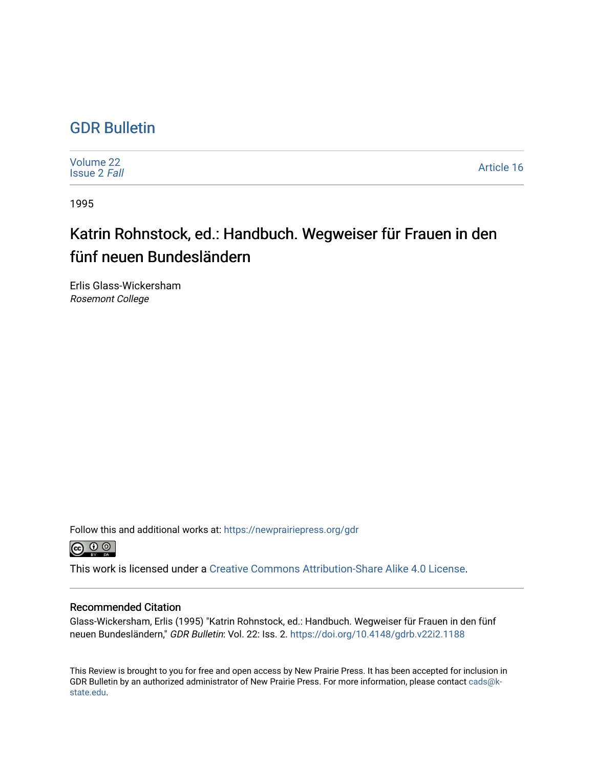## [GDR Bulletin](https://newprairiepress.org/gdr)

[Volume 22](https://newprairiepress.org/gdr/vol22) [Issue 2](https://newprairiepress.org/gdr/vol22/iss2) Fall [Article 16](https://newprairiepress.org/gdr/vol22/iss2/16) 

1995

# Katrin Rohnstock, ed.: Handbuch. Wegweiser für Frauen in den fünf neuen Bundesländern

Erlis Glass-Wickersham Rosemont College

Follow this and additional works at: [https://newprairiepress.org/gdr](https://newprairiepress.org/gdr?utm_source=newprairiepress.org%2Fgdr%2Fvol22%2Fiss2%2F16&utm_medium=PDF&utm_campaign=PDFCoverPages) 



This work is licensed under a [Creative Commons Attribution-Share Alike 4.0 License.](https://creativecommons.org/licenses/by-sa/4.0/)

### Recommended Citation

Glass-Wickersham, Erlis (1995) "Katrin Rohnstock, ed.: Handbuch. Wegweiser für Frauen in den fünf neuen Bundesländern," GDR Bulletin: Vol. 22: Iss. 2.<https://doi.org/10.4148/gdrb.v22i2.1188>

This Review is brought to you for free and open access by New Prairie Press. It has been accepted for inclusion in GDR Bulletin by an authorized administrator of New Prairie Press. For more information, please contact [cads@k](mailto:cads@k-state.edu)[state.edu](mailto:cads@k-state.edu).